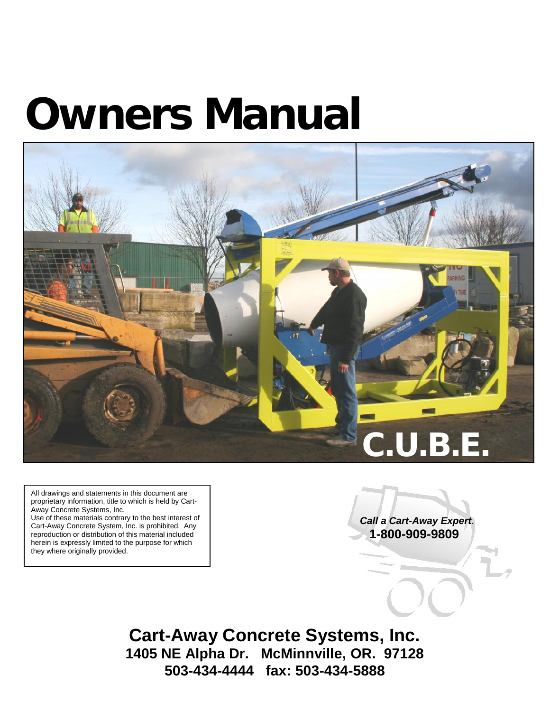# *Owners Manual*



All drawings and statements in this document are proprietary information, title to which is held by Cart- Away Concrete Systems, Inc.

Use of these materials contrary to the best interest of Cart-Away Concrete System, Inc. is prohibited. Any reproduction or distribution of this material included herein is expressly limited to the purpose for which they where originally provided.

*Call a Cart-Away Expert*. **1-800-909-9809**

**Cart-Away Concrete Systems, Inc. 1405 NE Alpha Dr. McMinnville, OR. 97128 503-434-4444 fax: 503-434-5888**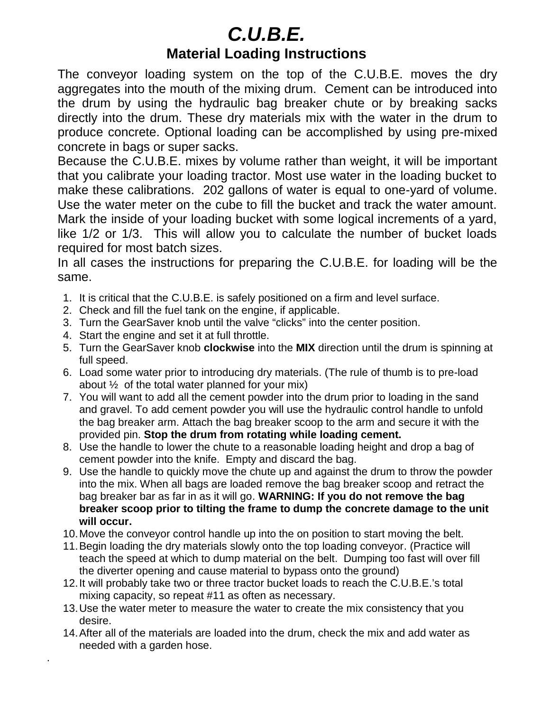## *C.U.B.E.* **Material Loading Instructions**

The conveyor loading system on the top of the C.U.B.E. moves the dry aggregates into the mouth of the mixing drum. Cement can be introduced into the drum by using the hydraulic bag breaker chute or by breaking sacks directly into the drum. These dry materials mix with the water in the drum to produce concrete. Optional loading can be accomplished by using pre-mixed concrete in bags or super sacks.

Because the C.U.B.E. mixes by volume rather than weight, it will be important that you calibrate your loading tractor. Most use water in the loading bucket to make these calibrations. 202 gallons of water is equal to one-yard of volume. Use the water meter on the cube to fill the bucket and track the water amount. Mark the inside of your loading bucket with some logical increments of a yard, like 1/2 or 1/3. This will allow you to calculate the number of bucket loads required for most batch sizes.

In all cases the instructions for preparing the C.U.B.E. for loading will be the same.

- 1. It is critical that the C.U.B.E. is safely positioned on a firm and level surface.
- 2. Check and fill the fuel tank on the engine, if applicable.
- 3. Turn the GearSaver knob until the valve "clicks" into the center position.
- 4. Start the engine and set it at full throttle.

.

- 5. Turn the GearSaver knob **clockwise** into the **MIX** direction until the drum is spinning at full speed.
- 6. Load some water prior to introducing dry materials. (The rule of thumb is to pre-load about  $\frac{1}{2}$  of the total water planned for your mix)
- 7. You will want to add all the cement powder into the drum prior to loading in the sand and gravel. To add cement powder you will use the hydraulic control handle to unfold the bag breaker arm. Attach the bag breaker scoop to the arm and secure it with the provided pin. **Stop the drum from rotating while loading cement.**
- 8. Use the handle to lower the chute to a reasonable loading height and drop a bag of cement powder into the knife. Empty and discard the bag.
- 9. Use the handle to quickly move the chute up and against the drum to throw the powder into the mix. When all bags are loaded remove the bag breaker scoop and retract the bag breaker bar as far in as it will go. **WARNING: If you do not remove the bag breaker scoop prior to tilting the frame to dump the concrete damage to the unit will occur.**
- 10.Move the conveyor control handle up into the on position to start moving the belt.
- 11.Begin loading the dry materials slowly onto the top loading conveyor. (Practice will teach the speed at which to dump material on the belt. Dumping too fast will over fill the diverter opening and cause material to bypass onto the ground)
- 12.It will probably take two or three tractor bucket loads to reach the C.U.B.E.'s total mixing capacity, so repeat #11 as often as necessary.
- 13.Use the water meter to measure the water to create the mix consistency that you desire.
- 14.After all of the materials are loaded into the drum, check the mix and add water as needed with a garden hose.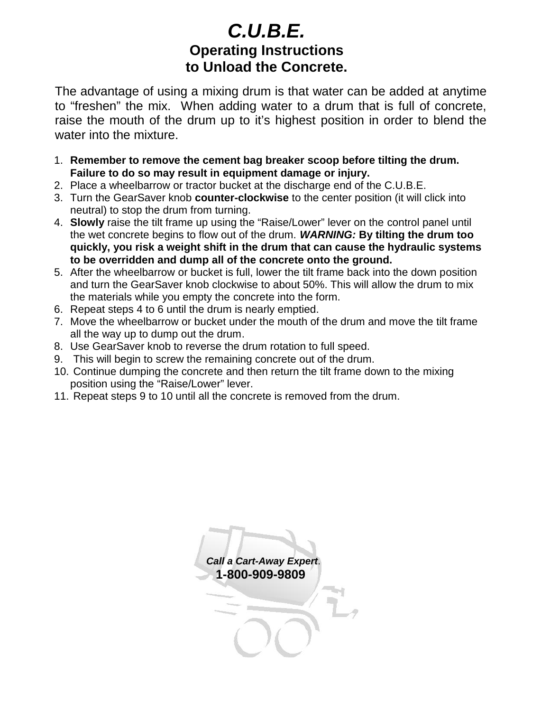#### *C.U.B.E.* **Operating Instructions to Unload the Concrete.**

The advantage of using a mixing drum is that water can be added at anytime to "freshen" the mix. When adding water to a drum that is full of concrete, raise the mouth of the drum up to it's highest position in order to blend the water into the mixture.

- 1. **Remember to remove the cement bag breaker scoop before tilting the drum. Failure to do so may result in equipment damage or injury.**
- 2. Place a wheelbarrow or tractor bucket at the discharge end of the C.U.B.E.
- 3. Turn the GearSaver knob **counter-clockwise** to the center position (it will click into neutral) to stop the drum from turning.
- 4. **Slowly** raise the tilt frame up using the "Raise/Lower" lever on the control panel until the wet concrete begins to flow out of the drum. *WARNING:* **By tilting the drum too quickly, you risk a weight shift in the drum that can cause the hydraulic systems to be overridden and dump all of the concrete onto the ground.**
- 5. After the wheelbarrow or bucket is full, lower the tilt frame back into the down position and turn the GearSaver knob clockwise to about 50%. This will allow the drum to mix the materials while you empty the concrete into the form.
- 6. Repeat steps 4 to 6 until the drum is nearly emptied.
- 7. Move the wheelbarrow or bucket under the mouth of the drum and move the tilt frame all the way up to dump out the drum.
- 8. Use GearSaver knob to reverse the drum rotation to full speed.
- 9. This will begin to screw the remaining concrete out of the drum.
- 10. Continue dumping the concrete and then return the tilt frame down to the mixing position using the "Raise/Lower" lever.
- 11. Repeat steps 9 to 10 until all the concrete is removed from the drum.

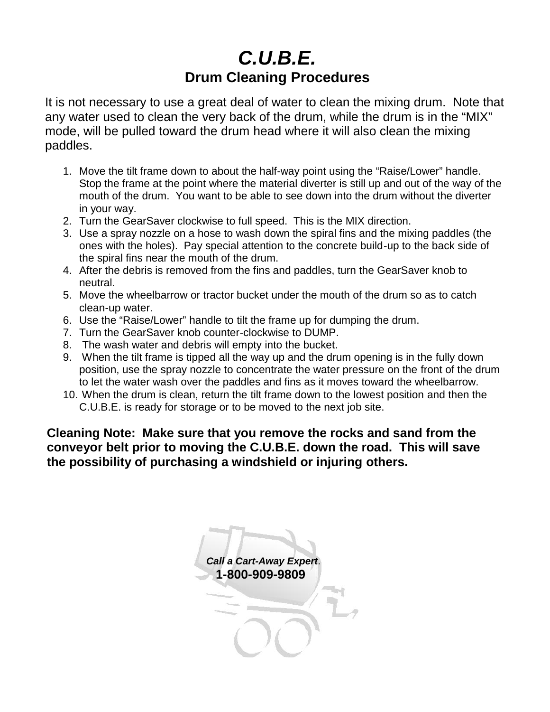## *C.U.B.E.* **Drum Cleaning Procedures**

It is not necessary to use a great deal of water to clean the mixing drum. Note that any water used to clean the very back of the drum, while the drum is in the "MIX" mode, will be pulled toward the drum head where it will also clean the mixing paddles.

- 1. Move the tilt frame down to about the half-way point using the "Raise/Lower" handle. Stop the frame at the point where the material diverter is still up and out of the way of the mouth of the drum. You want to be able to see down into the drum without the diverter in your way.
- 2. Turn the GearSaver clockwise to full speed. This is the MIX direction.
- 3. Use a spray nozzle on a hose to wash down the spiral fins and the mixing paddles (the ones with the holes). Pay special attention to the concrete build-up to the back side of the spiral fins near the mouth of the drum.
- 4. After the debris is removed from the fins and paddles, turn the GearSaver knob to neutral.
- 5. Move the wheelbarrow or tractor bucket under the mouth of the drum so as to catch clean-up water.
- 6. Use the "Raise/Lower" handle to tilt the frame up for dumping the drum.
- 7. Turn the GearSaver knob counter-clockwise to DUMP.
- 8. The wash water and debris will empty into the bucket.
- 9. When the tilt frame is tipped all the way up and the drum opening is in the fully down position, use the spray nozzle to concentrate the water pressure on the front of the drum to let the water wash over the paddles and fins as it moves toward the wheelbarrow.
- 10. When the drum is clean, return the tilt frame down to the lowest position and then the C.U.B.E. is ready for storage or to be moved to the next job site.

**Cleaning Note: Make sure that you remove the rocks and sand from the conveyor belt prior to moving the C.U.B.E. down the road. This will save the possibility of purchasing a windshield or injuring others.**

*Call a Cart-Away Expert*. **1-800-909-9809**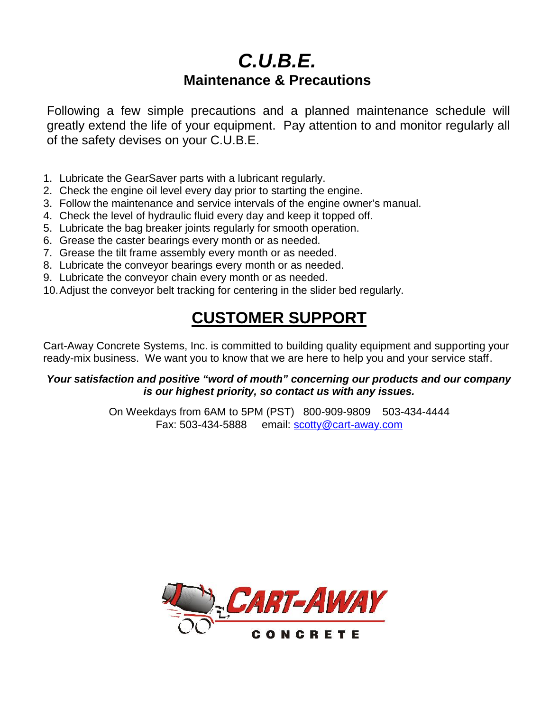#### *C.U.B.E.* **Maintenance & Precautions**

Following a few simple precautions and a planned maintenance schedule will greatly extend the life of your equipment. Pay attention to and monitor regularly all of the safety devises on your C.U.B.E.

- 1. Lubricate the GearSaver parts with a lubricant regularly.
- 2. Check the engine oil level every day prior to starting the engine.
- 3. Follow the maintenance and service intervals of the engine owner's manual.
- 4. Check the level of hydraulic fluid every day and keep it topped off.
- 5. Lubricate the bag breaker joints regularly for smooth operation.
- 6. Grease the caster bearings every month or as needed.
- 7. Grease the tilt frame assembly every month or as needed.
- 8. Lubricate the conveyor bearings every month or as needed.
- 9. Lubricate the conveyor chain every month or as needed.
- 10.Adjust the conveyor belt tracking for centering in the slider bed regularly.

## **CUSTOMER SUPPORT**

Cart-Away Concrete Systems, Inc. is committed to building quality equipment and supporting your ready-mix business. We want you to know that we are here to help you and your service staff.

#### *Your satisfaction and positive "word of mouth" concerning our products and our company is our highest priority, so contact us with any issues.*

On Weekdays from 6AM to 5PM (PST) 800-909-9809 503-434-4444 Fax: 503-434-5888 email: scotty@cart-away.com

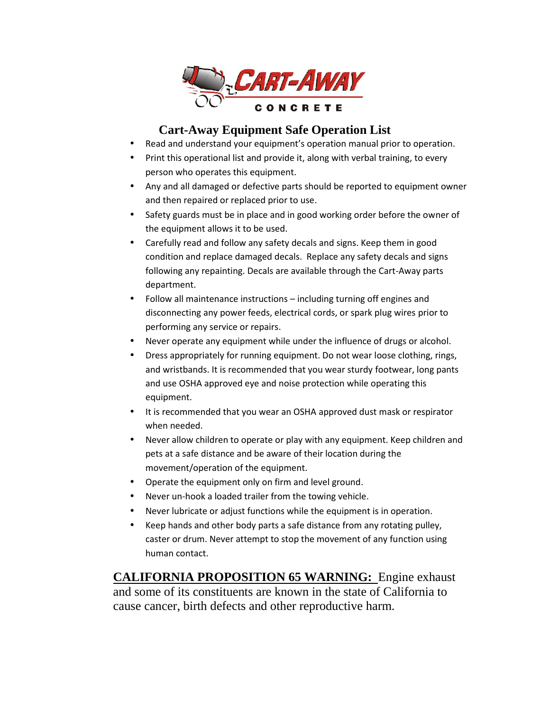

#### **Cart-Away Equipment Safe Operation List**

- Read and understand your equipment's operation manual prior to operation.
- Print this operational list and provide it, along with verbal training, to every person who operates this equipment.
- Any and all damaged or defective parts should be reported to equipment owner and then repaired or replaced prior to use.
- Safety guards must be in place and in good working order before the owner of the equipment allows it to be used.
- Carefully read and follow any safety decals and signs. Keep them in good condition and replace damaged decals. Replace any safety decals and signs following any repainting. Decals are available through the Cart-Away parts department.
- Follow all maintenance instructions including turning off engines and disconnecting any power feeds, electrical cords, or spark plug wires prior to performing any service or repairs.
- Never operate any equipment while under the influence of drugs or alcohol.
- Dress appropriately for running equipment. Do not wear loose clothing, rings, and wristbands. It is recommended that you wear sturdy footwear, long pants and use OSHA approved eye and noise protection while operating this equipment.
- It is recommended that you wear an OSHA approved dust mask or respirator when needed.
- Never allow children to operate or play with any equipment. Keep children and pets at a safe distance and be aware of their location during the movement/operation of the equipment.
- Operate the equipment only on firm and level ground.
- Never un-hook a loaded trailer from the towing vehicle.
- Never lubricate or adjust functions while the equipment is in operation.
- Keep hands and other body parts a safe distance from any rotating pulley, caster or drum. Never attempt to stop the movement of any function using human contact.

**CALIFORNIA PROPOSITION 65 WARNING:** Engine exhaust and some of its constituents are known in the state of California to cause cancer, birth defects and other reproductive harm.